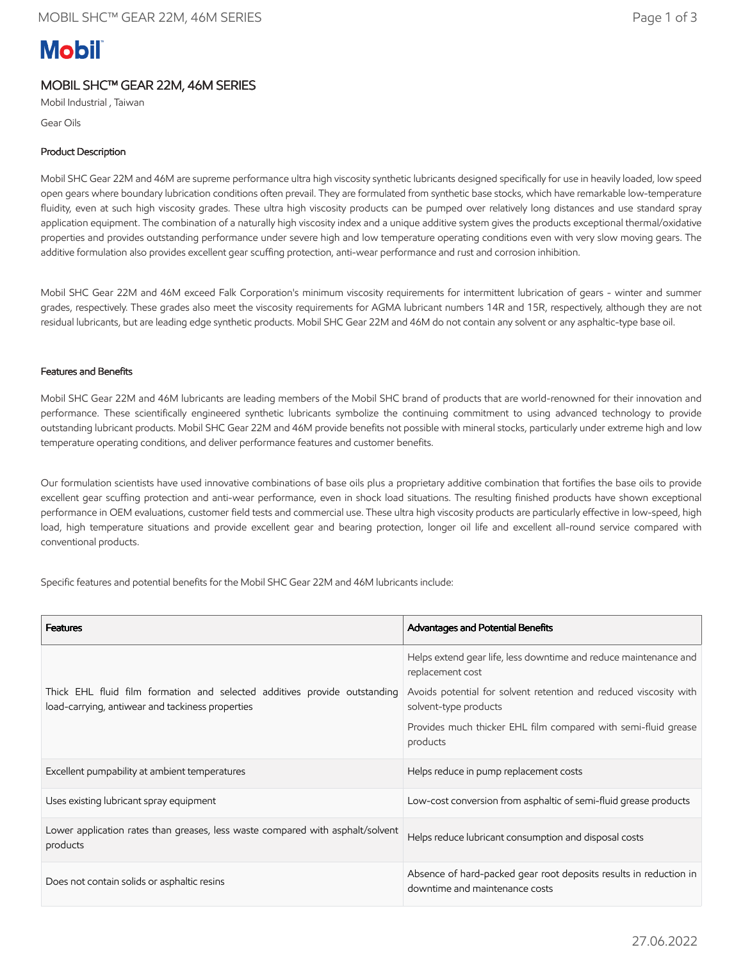# **Mobil**

# MOBIL SHC™ GEAR 22M, 46M SERIES

Mobil Industrial , Taiwan

Gear Oils

## Product Description

Mobil SHC Gear 22M and 46M are supreme performance ultra high viscosity synthetic lubricants designed specifically for use in heavily loaded, low speed open gears where boundary lubrication conditions often prevail. They are formulated from synthetic base stocks, which have remarkable low-temperature fluidity, even at such high viscosity grades. These ultra high viscosity products can be pumped over relatively long distances and use standard spray application equipment. The combination of a naturally high viscosity index and a unique additive system gives the products exceptional thermal/oxidative properties and provides outstanding performance under severe high and low temperature operating conditions even with very slow moving gears. The additive formulation also provides excellent gear scuffing protection, anti-wear performance and rust and corrosion inhibition.

Mobil SHC Gear 22M and 46M exceed Falk Corporation's minimum viscosity requirements for intermittent lubrication of gears - winter and summer grades, respectively. These grades also meet the viscosity requirements for AGMA lubricant numbers 14R and 15R, respectively, although they are not residual lubricants, but are leading edge synthetic products. Mobil SHC Gear 22M and 46M do not contain any solvent or any asphaltic-type base oil.

## Features and Benefits

Mobil SHC Gear 22M and 46M lubricants are leading members of the Mobil SHC brand of products that are world-renowned for their innovation and performance. These scientifically engineered synthetic lubricants symbolize the continuing commitment to using advanced technology to provide outstanding lubricant products. Mobil SHC Gear 22M and 46M provide benefits not possible with mineral stocks, particularly under extreme high and low temperature operating conditions, and deliver performance features and customer benefits.

Our formulation scientists have used innovative combinations of base oils plus a proprietary additive combination that fortifies the base oils to provide excellent gear scuffing protection and anti-wear performance, even in shock load situations. The resulting finished products have shown exceptional performance in OEM evaluations, customer field tests and commercial use. These ultra high viscosity products are particularly effective in low-speed, high load, high temperature situations and provide excellent gear and bearing protection, longer oil life and excellent all-round service compared with conventional products.

Specific features and potential benefits for the Mobil SHC Gear 22M and 46M lubricants include:

| <b>Features</b>                                                                                                               | <b>Advantages and Potential Benefits</b>                                                            |  |
|-------------------------------------------------------------------------------------------------------------------------------|-----------------------------------------------------------------------------------------------------|--|
|                                                                                                                               | Helps extend gear life, less downtime and reduce maintenance and<br>replacement cost                |  |
| Thick EHL fluid film formation and selected additives provide outstanding<br>load-carrying, antiwear and tackiness properties | Avoids potential for solvent retention and reduced viscosity with<br>solvent-type products          |  |
|                                                                                                                               | Provides much thicker EHL film compared with semi-fluid grease<br>products                          |  |
| Excellent pumpability at ambient temperatures                                                                                 | Helps reduce in pump replacement costs                                                              |  |
| Uses existing lubricant spray equipment                                                                                       | Low-cost conversion from asphaltic of semi-fluid grease products                                    |  |
| Lower application rates than greases, less waste compared with asphalt/solvent<br>products                                    | Helps reduce lubricant consumption and disposal costs                                               |  |
| Does not contain solids or asphaltic resins                                                                                   | Absence of hard-packed gear root deposits results in reduction in<br>downtime and maintenance costs |  |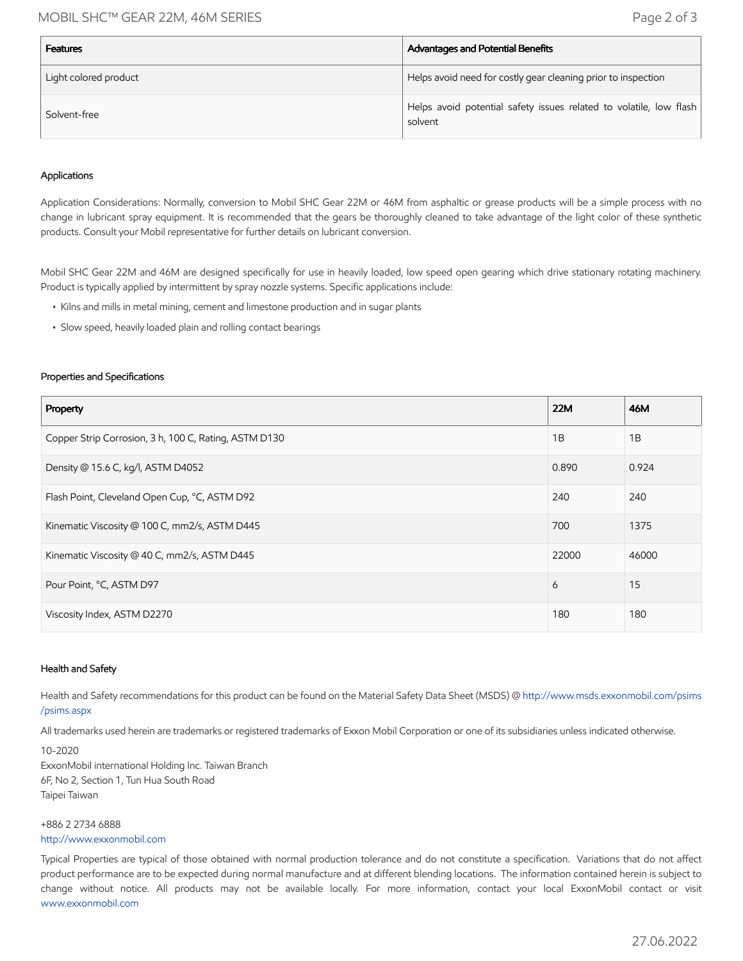## MOBIL SHC™ GEAR 22M, 46M SERIES Page 2 of 3

| <b>Features</b>       | Advantages and Potential Benefits                                             |
|-----------------------|-------------------------------------------------------------------------------|
| Light colored product | Helps avoid need for costly gear cleaning prior to inspection                 |
| Solvent-free          | Helps avoid potential safety issues related to volatile, low flash<br>solvent |

#### Applications

Application Considerations: Normally, conversion to Mobil SHC Gear 22M or 46M from asphaltic or grease products will be a simple process with no change in lubricant spray equipment. It is recommended that the gears be thoroughly cleaned to take advantage of the light color of these synthetic products. Consult your Mobil representative for further details on lubricant conversion.

Mobil SHC Gear 22M and 46M are designed specifically for use in heavily loaded, low speed open gearing which drive stationary rotating machinery. Product is typically applied by intermittent by spray nozzle systems. Specific applications include:

- Kilns and mills in metal mining, cement and limestone production and in sugar plants
- Slow speed, heavily loaded plain and rolling contact bearings

#### Properties and Specifications

| Property                                              | <b>22M</b> | 46M   |
|-------------------------------------------------------|------------|-------|
| Copper Strip Corrosion, 3 h, 100 C, Rating, ASTM D130 | 1B         | 1B    |
| Density @ 15.6 C, kg/l, ASTM D4052                    | 0.890      | 0.924 |
| Flash Point, Cleveland Open Cup, °C, ASTM D92         | 240        | 240   |
| Kinematic Viscosity @ 100 C, mm2/s, ASTM D445         | 700        | 1375  |
| Kinematic Viscosity @ 40 C, mm2/s, ASTM D445          | 22000      | 46000 |
| Pour Point, °C, ASTM D97                              | 6          | 15    |
| Viscosity Index, ASTM D2270                           | 180        | 180   |

#### Health and Safety

Health and Safety recommendations for this product can be found on the Material Safety Data Sheet (MSDS) @ [http://www.msds.exxonmobil.com/psims](http://www.msds.exxonmobil.com/psims/psims.aspx) /psims.aspx

All trademarks used herein are trademarks or registered trademarks of Exxon Mobil Corporation or one of its subsidiaries unless indicated otherwise.

10-2020 ExxonMobil international Holding Inc. Taiwan Branch 6F, No 2, Section 1, Tun Hua South Road Taipei Taiwan

+886 2 2734 6888 [http://www.exxonmobil.com](http://www.exxonmobil.com/)

Typical Properties are typical of those obtained with normal production tolerance and do not constitute a specification. Variations that do not affect product performance are to be expected during normal manufacture and at different blending locations. The information contained herein is subject to change without notice. All products may not be available locally. For more information, contact your local ExxonMobil contact or visit [www.exxonmobil.com](http://www.exxonmobil.com/)